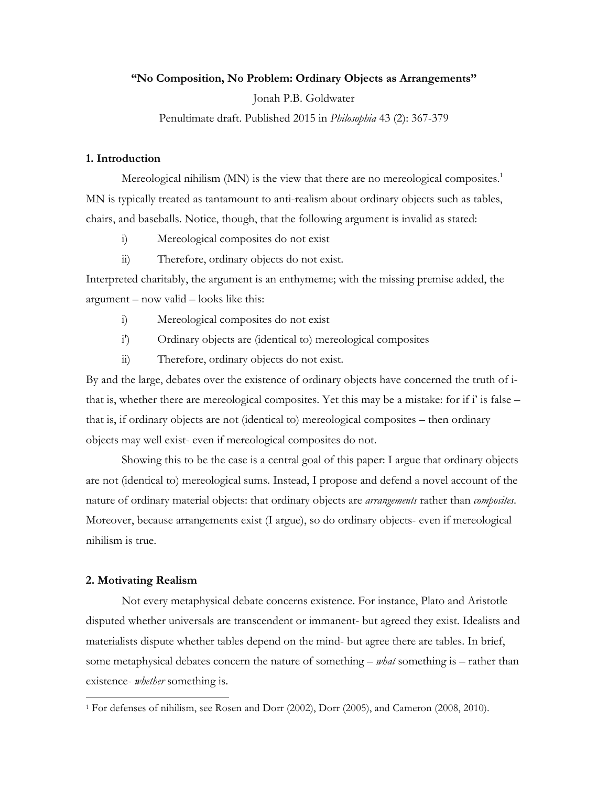## **"No Composition, No Problem: Ordinary Objects as Arrangements"**

Jonah P.B. Goldwater

Penultimate draft. Published 2015 in *Philosophia* 43 (2): 367-379

# **1. Introduction**

Mereological nihilism  $(MN)$  is the view that there are no mereological composites.<sup>1</sup> MN is typically treated as tantamount to anti-realism about ordinary objects such as tables, chairs, and baseballs. Notice, though, that the following argument is invalid as stated:

- i) Mereological composites do not exist
- ii) Therefore, ordinary objects do not exist.

Interpreted charitably, the argument is an enthymeme; with the missing premise added, the argument – now valid – looks like this:

- i) Mereological composites do not exist
- i') Ordinary objects are (identical to) mereological composites
- ii) Therefore, ordinary objects do not exist.

By and the large, debates over the existence of ordinary objects have concerned the truth of ithat is, whether there are mereological composites. Yet this may be a mistake: for if  $\mathbf{i}'$  is false – that is, if ordinary objects are not (identical to) mereological composites – then ordinary objects may well exist- even if mereological composites do not.

Showing this to be the case is a central goal of this paper: I argue that ordinary objects are not (identical to) mereological sums. Instead, I propose and defend a novel account of the nature of ordinary material objects: that ordinary objects are *arrangements* rather than *composites*. Moreover, because arrangements exist (I argue), so do ordinary objects- even if mereological nihilism is true.

## **2. Motivating Realism**

 

Not every metaphysical debate concerns existence. For instance, Plato and Aristotle disputed whether universals are transcendent or immanent- but agreed they exist. Idealists and materialists dispute whether tables depend on the mind- but agree there are tables. In brief, some metaphysical debates concern the nature of something – *what* something is – rather than existence- *whether* something is.

<sup>1</sup> For defenses of nihilism, see Rosen and Dorr (2002), Dorr (2005), and Cameron (2008, 2010).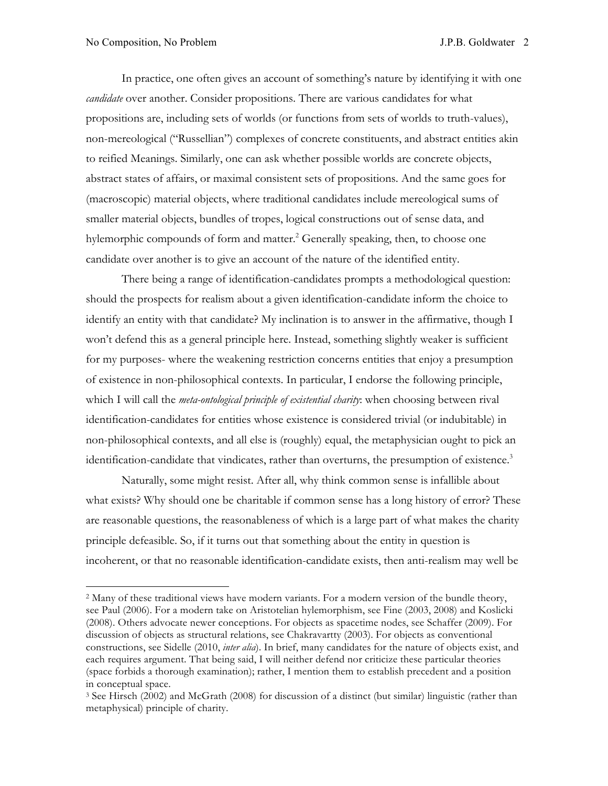In practice, one often gives an account of something's nature by identifying it with one *candidate* over another. Consider propositions. There are various candidates for what propositions are, including sets of worlds (or functions from sets of worlds to truth-values), non-mereological ("Russellian") complexes of concrete constituents, and abstract entities akin to reified Meanings. Similarly, one can ask whether possible worlds are concrete objects, abstract states of affairs, or maximal consistent sets of propositions. And the same goes for (macroscopic) material objects, where traditional candidates include mereological sums of smaller material objects, bundles of tropes, logical constructions out of sense data, and hylemorphic compounds of form and matter.<sup>2</sup> Generally speaking, then, to choose one candidate over another is to give an account of the nature of the identified entity.

There being a range of identification-candidates prompts a methodological question: should the prospects for realism about a given identification-candidate inform the choice to identify an entity with that candidate? My inclination is to answer in the affirmative, though I won't defend this as a general principle here. Instead, something slightly weaker is sufficient for my purposes- where the weakening restriction concerns entities that enjoy a presumption of existence in non-philosophical contexts. In particular, I endorse the following principle, which I will call the *meta-ontological principle of existential charity*: when choosing between rival identification-candidates for entities whose existence is considered trivial (or indubitable) in non-philosophical contexts, and all else is (roughly) equal, the metaphysician ought to pick an identification-candidate that vindicates, rather than overturns, the presumption of existence.<sup>3</sup>

Naturally, some might resist. After all, why think common sense is infallible about what exists? Why should one be charitable if common sense has a long history of error? These are reasonable questions, the reasonableness of which is a large part of what makes the charity principle defeasible. So, if it turns out that something about the entity in question is incoherent, or that no reasonable identification-candidate exists, then anti-realism may well be

<sup>2</sup> Many of these traditional views have modern variants. For a modern version of the bundle theory, see Paul (2006). For a modern take on Aristotelian hylemorphism, see Fine (2003, 2008) and Koslicki (2008). Others advocate newer conceptions. For objects as spacetime nodes, see Schaffer (2009). For discussion of objects as structural relations, see Chakravartty (2003). For objects as conventional constructions, see Sidelle (2010, *inter alia*). In brief, many candidates for the nature of objects exist, and each requires argument. That being said, I will neither defend nor criticize these particular theories (space forbids a thorough examination); rather, I mention them to establish precedent and a position in conceptual space.

<sup>3</sup> See Hirsch (2002) and McGrath (2008) for discussion of a distinct (but similar) linguistic (rather than metaphysical) principle of charity.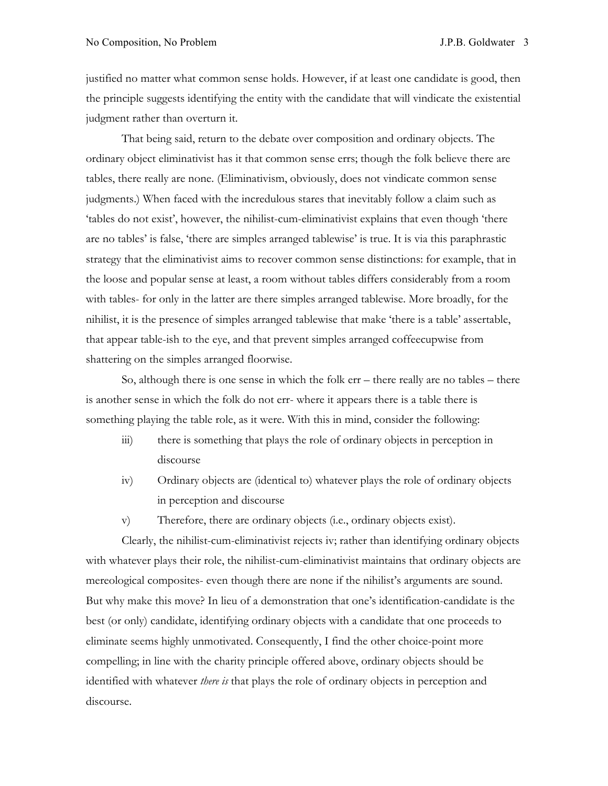justified no matter what common sense holds. However, if at least one candidate is good, then the principle suggests identifying the entity with the candidate that will vindicate the existential judgment rather than overturn it.

That being said, return to the debate over composition and ordinary objects. The ordinary object eliminativist has it that common sense errs; though the folk believe there are tables, there really are none. (Eliminativism, obviously, does not vindicate common sense judgments.) When faced with the incredulous stares that inevitably follow a claim such as 'tables do not exist', however, the nihilist-cum-eliminativist explains that even though 'there are no tables' is false, 'there are simples arranged tablewise' is true. It is via this paraphrastic strategy that the eliminativist aims to recover common sense distinctions: for example, that in the loose and popular sense at least, a room without tables differs considerably from a room with tables- for only in the latter are there simples arranged tablewise. More broadly, for the nihilist, it is the presence of simples arranged tablewise that make 'there is a table' assertable, that appear table-ish to the eye, and that prevent simples arranged coffeecupwise from shattering on the simples arranged floorwise.

So, although there is one sense in which the folk err – there really are no tables – there is another sense in which the folk do not err- where it appears there is a table there is something playing the table role, as it were. With this in mind, consider the following:

- iii) there is something that plays the role of ordinary objects in perception in discourse
- iv) Ordinary objects are (identical to) whatever plays the role of ordinary objects in perception and discourse
- v) Therefore, there are ordinary objects (i.e., ordinary objects exist).

Clearly, the nihilist-cum-eliminativist rejects iv; rather than identifying ordinary objects with whatever plays their role, the nihilist-cum-eliminativist maintains that ordinary objects are mereological composites- even though there are none if the nihilist's arguments are sound. But why make this move? In lieu of a demonstration that one's identification-candidate is the best (or only) candidate, identifying ordinary objects with a candidate that one proceeds to eliminate seems highly unmotivated. Consequently, I find the other choice-point more compelling; in line with the charity principle offered above, ordinary objects should be identified with whatever *there is* that plays the role of ordinary objects in perception and discourse.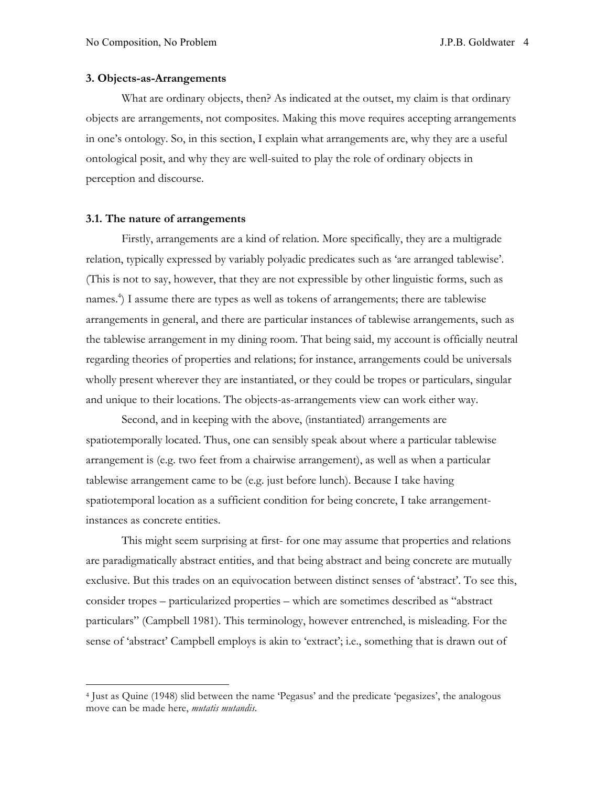## **3. Objects-as-Arrangements**

What are ordinary objects, then? As indicated at the outset, my claim is that ordinary objects are arrangements, not composites. Making this move requires accepting arrangements in one's ontology. So, in this section, I explain what arrangements are, why they are a useful ontological posit, and why they are well-suited to play the role of ordinary objects in perception and discourse.

## **3.1. The nature of arrangements**

 

Firstly, arrangements are a kind of relation. More specifically, they are a multigrade relation, typically expressed by variably polyadic predicates such as 'are arranged tablewise'. (This is not to say, however, that they are not expressible by other linguistic forms, such as names.<sup>4</sup>) I assume there are types as well as tokens of arrangements; there are tablewise arrangements in general, and there are particular instances of tablewise arrangements, such as the tablewise arrangement in my dining room. That being said, my account is officially neutral regarding theories of properties and relations; for instance, arrangements could be universals wholly present wherever they are instantiated, or they could be tropes or particulars, singular and unique to their locations. The objects-as-arrangements view can work either way.

Second, and in keeping with the above, (instantiated) arrangements are spatiotemporally located. Thus, one can sensibly speak about where a particular tablewise arrangement is (e.g. two feet from a chairwise arrangement), as well as when a particular tablewise arrangement came to be (e.g. just before lunch). Because I take having spatiotemporal location as a sufficient condition for being concrete, I take arrangementinstances as concrete entities.

This might seem surprising at first- for one may assume that properties and relations are paradigmatically abstract entities, and that being abstract and being concrete are mutually exclusive. But this trades on an equivocation between distinct senses of 'abstract'. To see this, consider tropes – particularized properties – which are sometimes described as "abstract particulars" (Campbell 1981). This terminology, however entrenched, is misleading. For the sense of 'abstract' Campbell employs is akin to 'extract'; i.e., something that is drawn out of

<sup>4</sup> Just as Quine (1948) slid between the name 'Pegasus' and the predicate 'pegasizes', the analogous move can be made here, *mutatis mutandis*.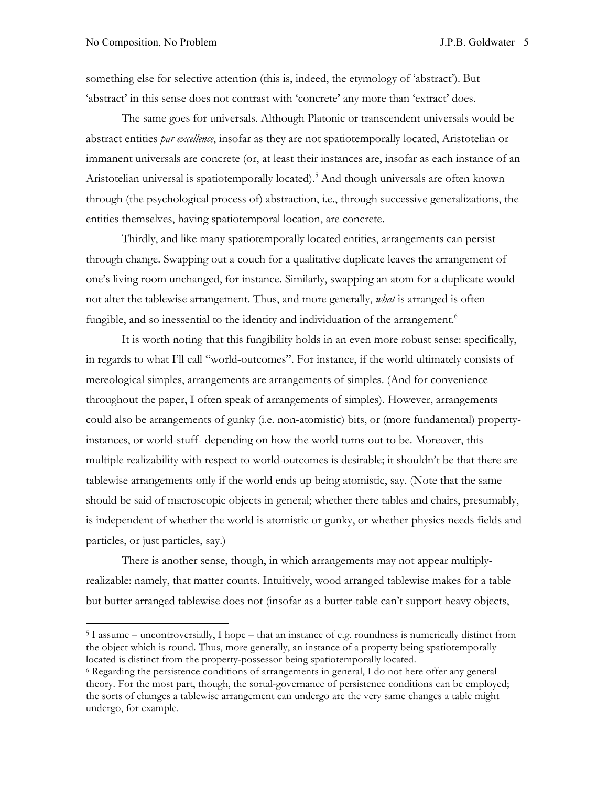something else for selective attention (this is, indeed, the etymology of 'abstract'). But 'abstract' in this sense does not contrast with 'concrete' any more than 'extract' does.

The same goes for universals. Although Platonic or transcendent universals would be abstract entities *par excellence*, insofar as they are not spatiotemporally located, Aristotelian or immanent universals are concrete (or, at least their instances are, insofar as each instance of an Aristotelian universal is spatiotemporally located).<sup>5</sup> And though universals are often known through (the psychological process of) abstraction, i.e., through successive generalizations, the entities themselves, having spatiotemporal location, are concrete.

Thirdly, and like many spatiotemporally located entities, arrangements can persist through change. Swapping out a couch for a qualitative duplicate leaves the arrangement of one's living room unchanged, for instance. Similarly, swapping an atom for a duplicate would not alter the tablewise arrangement. Thus, and more generally, *what* is arranged is often fungible, and so inessential to the identity and individuation of the arrangement.<sup>6</sup>

It is worth noting that this fungibility holds in an even more robust sense: specifically, in regards to what I'll call "world-outcomes". For instance, if the world ultimately consists of mereological simples, arrangements are arrangements of simples. (And for convenience throughout the paper, I often speak of arrangements of simples). However, arrangements could also be arrangements of gunky (i.e. non-atomistic) bits, or (more fundamental) propertyinstances, or world-stuff- depending on how the world turns out to be. Moreover, this multiple realizability with respect to world-outcomes is desirable; it shouldn't be that there are tablewise arrangements only if the world ends up being atomistic, say. (Note that the same should be said of macroscopic objects in general; whether there tables and chairs, presumably, is independent of whether the world is atomistic or gunky, or whether physics needs fields and particles, or just particles, say.)

There is another sense, though, in which arrangements may not appear multiplyrealizable: namely, that matter counts. Intuitively, wood arranged tablewise makes for a table but butter arranged tablewise does not (insofar as a butter-table can't support heavy objects,

<sup>5</sup> I assume – uncontroversially, I hope – that an instance of e.g. roundness is numerically distinct from the object which is round. Thus, more generally, an instance of a property being spatiotemporally located is distinct from the property-possessor being spatiotemporally located.

<sup>6</sup> Regarding the persistence conditions of arrangements in general, I do not here offer any general theory. For the most part, though, the sortal-governance of persistence conditions can be employed; the sorts of changes a tablewise arrangement can undergo are the very same changes a table might undergo, for example.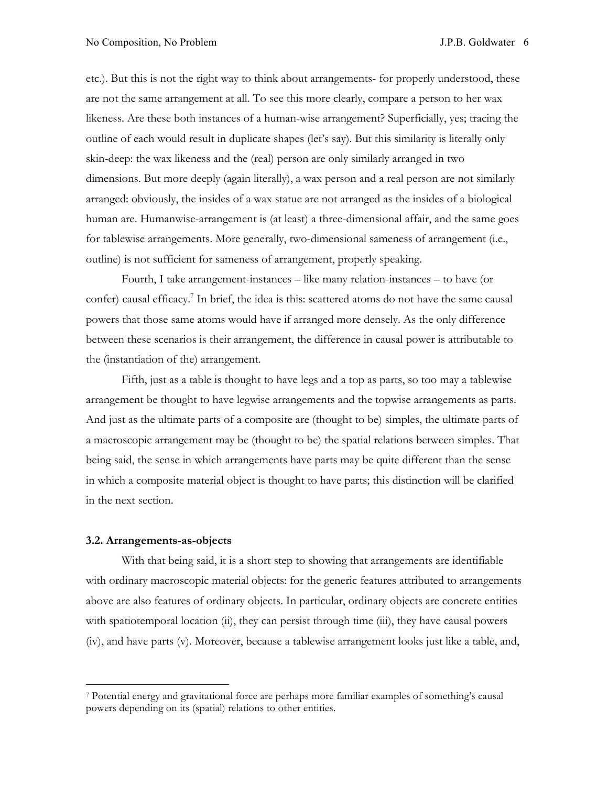etc.). But this is not the right way to think about arrangements- for properly understood, these are not the same arrangement at all. To see this more clearly, compare a person to her wax likeness. Are these both instances of a human-wise arrangement? Superficially, yes; tracing the outline of each would result in duplicate shapes (let's say). But this similarity is literally only skin-deep: the wax likeness and the (real) person are only similarly arranged in two dimensions. But more deeply (again literally), a wax person and a real person are not similarly arranged: obviously, the insides of a wax statue are not arranged as the insides of a biological human are. Humanwise-arrangement is (at least) a three-dimensional affair, and the same goes for tablewise arrangements. More generally, two-dimensional sameness of arrangement (i.e., outline) is not sufficient for sameness of arrangement, properly speaking.

Fourth, I take arrangement-instances – like many relation-instances – to have (or confer) causal efficacy.<sup>7</sup> In brief, the idea is this: scattered atoms do not have the same causal powers that those same atoms would have if arranged more densely. As the only difference between these scenarios is their arrangement, the difference in causal power is attributable to the (instantiation of the) arrangement.

Fifth, just as a table is thought to have legs and a top as parts, so too may a tablewise arrangement be thought to have legwise arrangements and the topwise arrangements as parts. And just as the ultimate parts of a composite are (thought to be) simples, the ultimate parts of a macroscopic arrangement may be (thought to be) the spatial relations between simples. That being said, the sense in which arrangements have parts may be quite different than the sense in which a composite material object is thought to have parts; this distinction will be clarified in the next section.

#### **3.2. Arrangements-as-objects**

 

With that being said, it is a short step to showing that arrangements are identifiable with ordinary macroscopic material objects: for the generic features attributed to arrangements above are also features of ordinary objects. In particular, ordinary objects are concrete entities with spatiotemporal location (ii), they can persist through time (iii), they have causal powers (iv), and have parts (v). Moreover, because a tablewise arrangement looks just like a table, and,

<sup>7</sup> Potential energy and gravitational force are perhaps more familiar examples of something's causal powers depending on its (spatial) relations to other entities.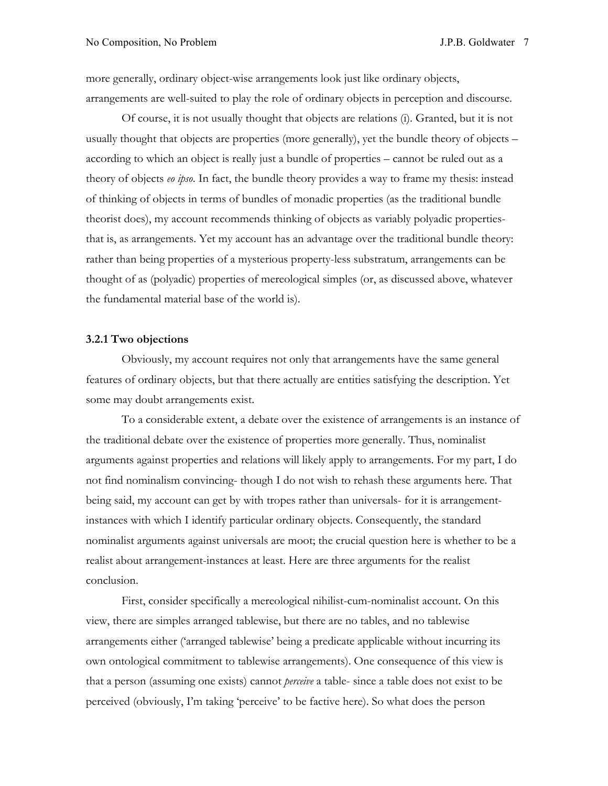more generally, ordinary object-wise arrangements look just like ordinary objects, arrangements are well-suited to play the role of ordinary objects in perception and discourse.

Of course, it is not usually thought that objects are relations (i). Granted, but it is not usually thought that objects are properties (more generally), yet the bundle theory of objects – according to which an object is really just a bundle of properties – cannot be ruled out as a theory of objects *eo ipso*. In fact, the bundle theory provides a way to frame my thesis: instead of thinking of objects in terms of bundles of monadic properties (as the traditional bundle theorist does), my account recommends thinking of objects as variably polyadic propertiesthat is, as arrangements. Yet my account has an advantage over the traditional bundle theory: rather than being properties of a mysterious property-less substratum, arrangements can be thought of as (polyadic) properties of mereological simples (or, as discussed above, whatever the fundamental material base of the world is).

#### **3.2.1 Two objections**

Obviously, my account requires not only that arrangements have the same general features of ordinary objects, but that there actually are entities satisfying the description. Yet some may doubt arrangements exist.

To a considerable extent, a debate over the existence of arrangements is an instance of the traditional debate over the existence of properties more generally. Thus, nominalist arguments against properties and relations will likely apply to arrangements. For my part, I do not find nominalism convincing- though I do not wish to rehash these arguments here. That being said, my account can get by with tropes rather than universals- for it is arrangementinstances with which I identify particular ordinary objects. Consequently, the standard nominalist arguments against universals are moot; the crucial question here is whether to be a realist about arrangement-instances at least. Here are three arguments for the realist conclusion.

First, consider specifically a mereological nihilist-cum-nominalist account. On this view, there are simples arranged tablewise, but there are no tables, and no tablewise arrangements either ('arranged tablewise' being a predicate applicable without incurring its own ontological commitment to tablewise arrangements). One consequence of this view is that a person (assuming one exists) cannot *perceive* a table- since a table does not exist to be perceived (obviously, I'm taking 'perceive' to be factive here). So what does the person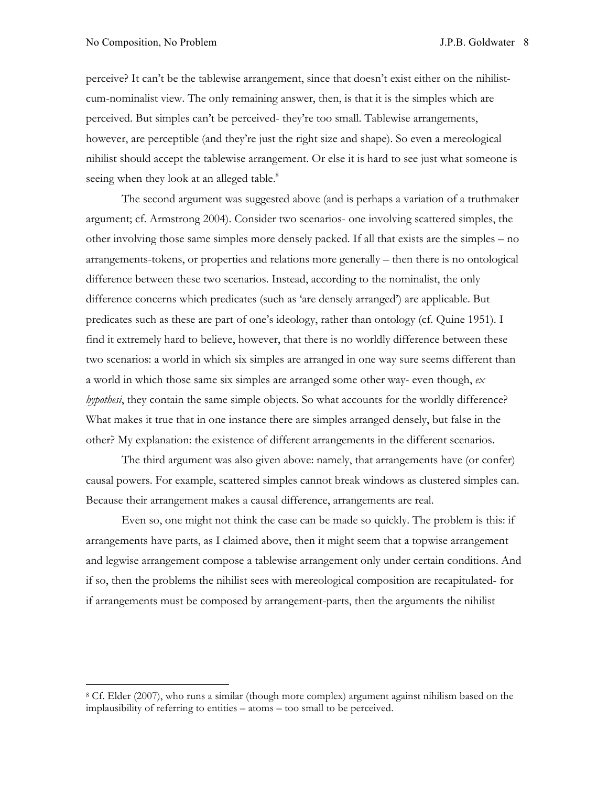perceive? It can't be the tablewise arrangement, since that doesn't exist either on the nihilistcum-nominalist view. The only remaining answer, then, is that it is the simples which are perceived. But simples can't be perceived- they're too small. Tablewise arrangements, however, are perceptible (and they're just the right size and shape). So even a mereological nihilist should accept the tablewise arrangement. Or else it is hard to see just what someone is seeing when they look at an alleged table.<sup>8</sup>

The second argument was suggested above (and is perhaps a variation of a truthmaker argument; cf. Armstrong 2004). Consider two scenarios- one involving scattered simples, the other involving those same simples more densely packed. If all that exists are the simples – no arrangements-tokens, or properties and relations more generally – then there is no ontological difference between these two scenarios. Instead, according to the nominalist, the only difference concerns which predicates (such as 'are densely arranged') are applicable. But predicates such as these are part of one's ideology, rather than ontology (cf. Quine 1951). I find it extremely hard to believe, however, that there is no worldly difference between these two scenarios: a world in which six simples are arranged in one way sure seems different than a world in which those same six simples are arranged some other way- even though, *ex hypothesi*, they contain the same simple objects. So what accounts for the worldly difference? What makes it true that in one instance there are simples arranged densely, but false in the other? My explanation: the existence of different arrangements in the different scenarios.

The third argument was also given above: namely, that arrangements have (or confer) causal powers. For example, scattered simples cannot break windows as clustered simples can. Because their arrangement makes a causal difference, arrangements are real.

Even so, one might not think the case can be made so quickly. The problem is this: if arrangements have parts, as I claimed above, then it might seem that a topwise arrangement and legwise arrangement compose a tablewise arrangement only under certain conditions. And if so, then the problems the nihilist sees with mereological composition are recapitulated- for if arrangements must be composed by arrangement-parts, then the arguments the nihilist

<sup>8</sup> Cf. Elder (2007), who runs a similar (though more complex) argument against nihilism based on the implausibility of referring to entities – atoms – too small to be perceived.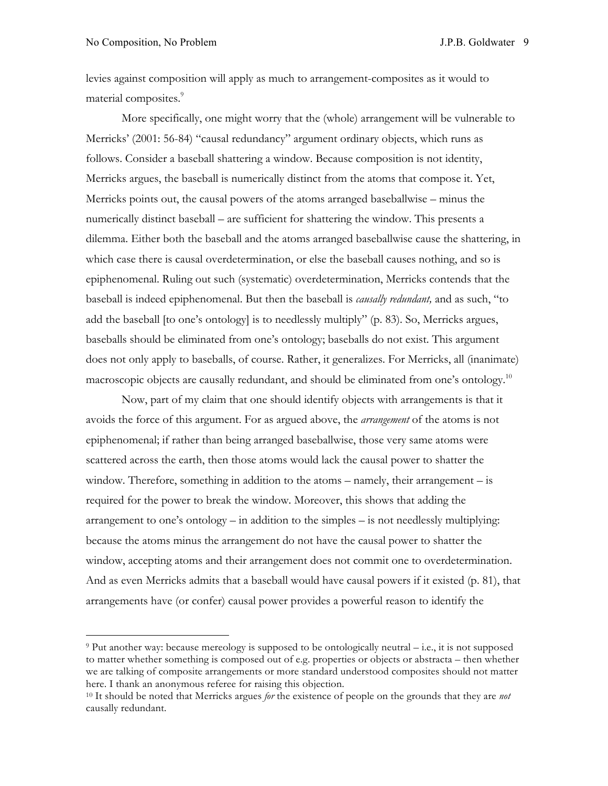levies against composition will apply as much to arrangement-composites as it would to material composites.<sup>9</sup>

More specifically, one might worry that the (whole) arrangement will be vulnerable to Merricks' (2001: 56-84) "causal redundancy" argument ordinary objects, which runs as follows. Consider a baseball shattering a window. Because composition is not identity, Merricks argues, the baseball is numerically distinct from the atoms that compose it. Yet, Merricks points out, the causal powers of the atoms arranged baseballwise – minus the numerically distinct baseball – are sufficient for shattering the window. This presents a dilemma. Either both the baseball and the atoms arranged baseballwise cause the shattering, in which case there is causal overdetermination, or else the baseball causes nothing, and so is epiphenomenal. Ruling out such (systematic) overdetermination, Merricks contends that the baseball is indeed epiphenomenal. But then the baseball is *causally redundant,* and as such, "to add the baseball [to one's ontology] is to needlessly multiply" (p. 83). So, Merricks argues, baseballs should be eliminated from one's ontology; baseballs do not exist. This argument does not only apply to baseballs, of course. Rather, it generalizes. For Merricks, all (inanimate) macroscopic objects are causally redundant, and should be eliminated from one's ontology.10

Now, part of my claim that one should identify objects with arrangements is that it avoids the force of this argument. For as argued above, the *arrangement* of the atoms is not epiphenomenal; if rather than being arranged baseballwise, those very same atoms were scattered across the earth, then those atoms would lack the causal power to shatter the window. Therefore, something in addition to the atoms – namely, their arrangement – is required for the power to break the window. Moreover, this shows that adding the arrangement to one's ontology – in addition to the simples – is not needlessly multiplying: because the atoms minus the arrangement do not have the causal power to shatter the window, accepting atoms and their arrangement does not commit one to overdetermination. And as even Merricks admits that a baseball would have causal powers if it existed (p. 81), that arrangements have (or confer) causal power provides a powerful reason to identify the

<sup>9</sup> Put another way: because mereology is supposed to be ontologically neutral – i.e., it is not supposed to matter whether something is composed out of e.g. properties or objects or abstracta – then whether we are talking of composite arrangements or more standard understood composites should not matter here. I thank an anonymous referee for raising this objection.

<sup>10</sup> It should be noted that Merricks argues *for* the existence of people on the grounds that they are *not* causally redundant.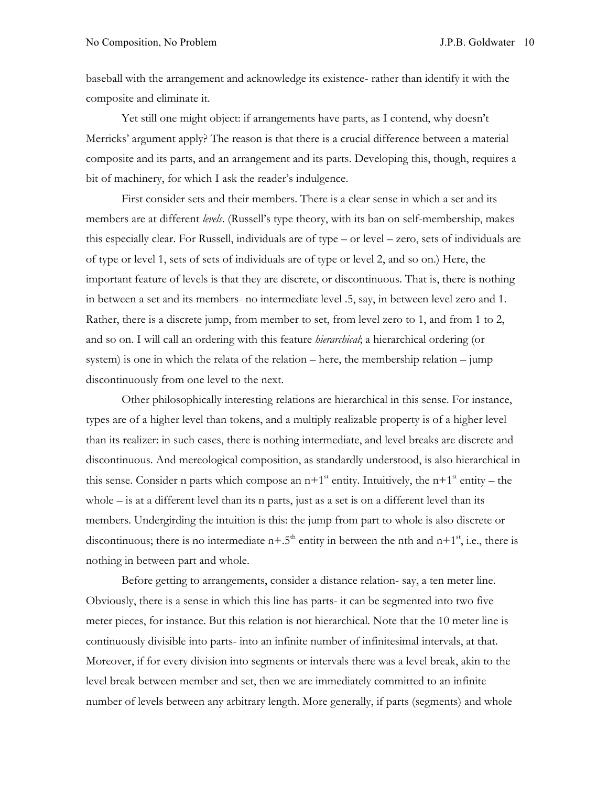baseball with the arrangement and acknowledge its existence- rather than identify it with the composite and eliminate it.

Yet still one might object: if arrangements have parts, as I contend, why doesn't Merricks' argument apply? The reason is that there is a crucial difference between a material composite and its parts, and an arrangement and its parts. Developing this, though, requires a bit of machinery, for which I ask the reader's indulgence.

First consider sets and their members. There is a clear sense in which a set and its members are at different *levels*. (Russell's type theory, with its ban on self-membership, makes this especially clear. For Russell, individuals are of type – or level – zero, sets of individuals are of type or level 1, sets of sets of individuals are of type or level 2, and so on.) Here, the important feature of levels is that they are discrete, or discontinuous. That is, there is nothing in between a set and its members- no intermediate level .5, say, in between level zero and 1. Rather, there is a discrete jump, from member to set, from level zero to 1, and from 1 to 2, and so on. I will call an ordering with this feature *hierarchical*; a hierarchical ordering (or system) is one in which the relata of the relation – here, the membership relation – jump discontinuously from one level to the next.

Other philosophically interesting relations are hierarchical in this sense. For instance, types are of a higher level than tokens, and a multiply realizable property is of a higher level than its realizer: in such cases, there is nothing intermediate, and level breaks are discrete and discontinuous. And mereological composition, as standardly understood, is also hierarchical in this sense. Consider n parts which compose an  $n+1^{st}$  entity. Intuitively, the  $n+1^{st}$  entity – the whole  $-$  is at a different level than its n parts, just as a set is on a different level than its members. Undergirding the intuition is this: the jump from part to whole is also discrete or discontinuous; there is no intermediate  $n+0.5<sup>th</sup>$  entity in between the nth and  $n+1<sup>st</sup>$ , i.e., there is nothing in between part and whole.

Before getting to arrangements, consider a distance relation- say, a ten meter line. Obviously, there is a sense in which this line has parts- it can be segmented into two five meter pieces, for instance. But this relation is not hierarchical. Note that the 10 meter line is continuously divisible into parts- into an infinite number of infinitesimal intervals, at that. Moreover, if for every division into segments or intervals there was a level break, akin to the level break between member and set, then we are immediately committed to an infinite number of levels between any arbitrary length. More generally, if parts (segments) and whole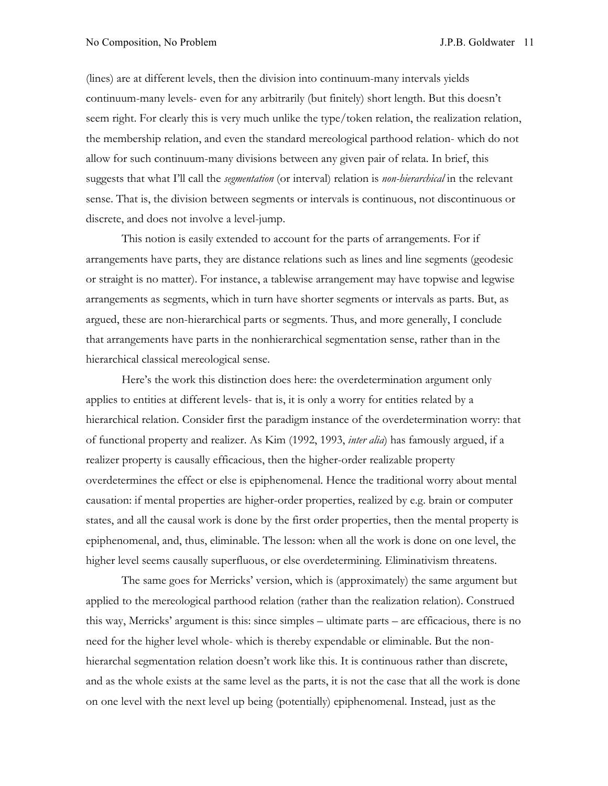(lines) are at different levels, then the division into continuum-many intervals yields continuum-many levels- even for any arbitrarily (but finitely) short length. But this doesn't seem right. For clearly this is very much unlike the type/token relation, the realization relation, the membership relation, and even the standard mereological parthood relation- which do not allow for such continuum-many divisions between any given pair of relata. In brief, this suggests that what I'll call the *segmentation* (or interval) relation is *non-hierarchical* in the relevant sense. That is, the division between segments or intervals is continuous, not discontinuous or discrete, and does not involve a level-jump.

This notion is easily extended to account for the parts of arrangements. For if arrangements have parts, they are distance relations such as lines and line segments (geodesic or straight is no matter). For instance, a tablewise arrangement may have topwise and legwise arrangements as segments, which in turn have shorter segments or intervals as parts. But, as argued, these are non-hierarchical parts or segments. Thus, and more generally, I conclude that arrangements have parts in the nonhierarchical segmentation sense, rather than in the hierarchical classical mereological sense.

Here's the work this distinction does here: the overdetermination argument only applies to entities at different levels- that is, it is only a worry for entities related by a hierarchical relation. Consider first the paradigm instance of the overdetermination worry: that of functional property and realizer. As Kim (1992, 1993, *inter alia*) has famously argued, if a realizer property is causally efficacious, then the higher-order realizable property overdetermines the effect or else is epiphenomenal. Hence the traditional worry about mental causation: if mental properties are higher-order properties, realized by e.g. brain or computer states, and all the causal work is done by the first order properties, then the mental property is epiphenomenal, and, thus, eliminable. The lesson: when all the work is done on one level, the higher level seems causally superfluous, or else overdetermining. Eliminativism threatens.

The same goes for Merricks' version, which is (approximately) the same argument but applied to the mereological parthood relation (rather than the realization relation). Construed this way, Merricks' argument is this: since simples – ultimate parts – are efficacious, there is no need for the higher level whole- which is thereby expendable or eliminable. But the nonhierarchal segmentation relation doesn't work like this. It is continuous rather than discrete, and as the whole exists at the same level as the parts, it is not the case that all the work is done on one level with the next level up being (potentially) epiphenomenal. Instead, just as the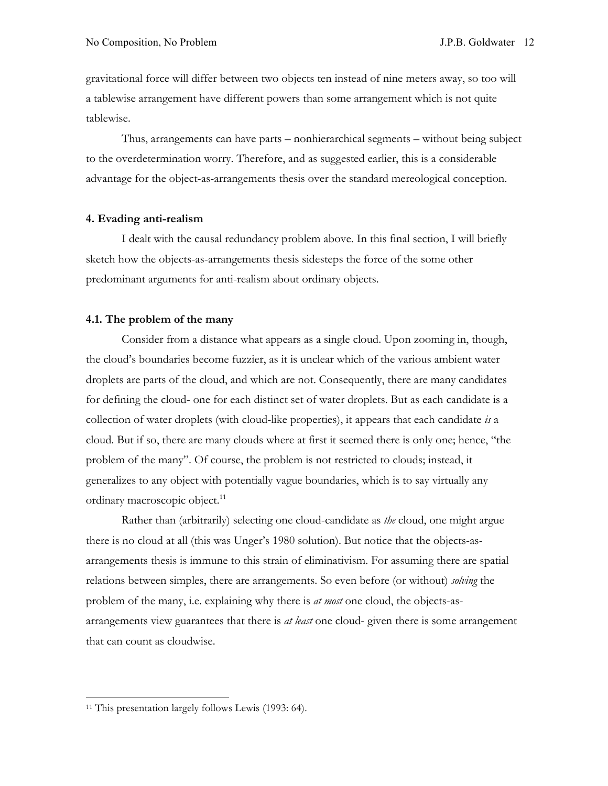gravitational force will differ between two objects ten instead of nine meters away, so too will a tablewise arrangement have different powers than some arrangement which is not quite tablewise.

Thus, arrangements can have parts – nonhierarchical segments – without being subject to the overdetermination worry. Therefore, and as suggested earlier, this is a considerable advantage for the object-as-arrangements thesis over the standard mereological conception.

#### **4. Evading anti-realism**

I dealt with the causal redundancy problem above. In this final section, I will briefly sketch how the objects-as-arrangements thesis sidesteps the force of the some other predominant arguments for anti-realism about ordinary objects.

#### **4.1. The problem of the many**

Consider from a distance what appears as a single cloud. Upon zooming in, though, the cloud's boundaries become fuzzier, as it is unclear which of the various ambient water droplets are parts of the cloud, and which are not. Consequently, there are many candidates for defining the cloud- one for each distinct set of water droplets. But as each candidate is a collection of water droplets (with cloud-like properties), it appears that each candidate *is* a cloud. But if so, there are many clouds where at first it seemed there is only one; hence, "the problem of the many". Of course, the problem is not restricted to clouds; instead, it generalizes to any object with potentially vague boundaries, which is to say virtually any ordinary macroscopic object.<sup>11</sup>

Rather than (arbitrarily) selecting one cloud-candidate as *the* cloud, one might argue there is no cloud at all (this was Unger's 1980 solution). But notice that the objects-asarrangements thesis is immune to this strain of eliminativism. For assuming there are spatial relations between simples, there are arrangements. So even before (or without) *solving* the problem of the many, i.e. explaining why there is *at most* one cloud, the objects-asarrangements view guarantees that there is *at least* one cloud- given there is some arrangement that can count as cloudwise.

 

<sup>11</sup> This presentation largely follows Lewis (1993: 64).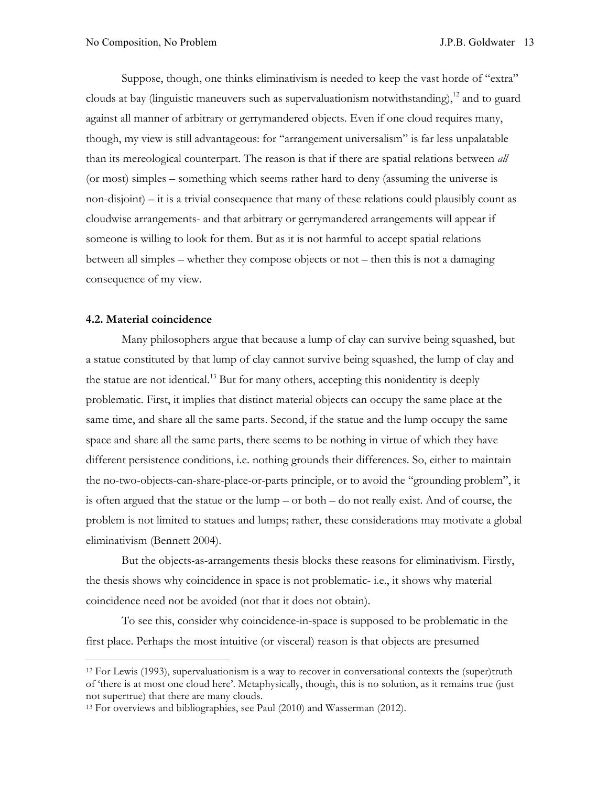Suppose, though, one thinks eliminativism is needed to keep the vast horde of "extra" clouds at bay (linguistic maneuvers such as supervaluationism notwithstanding), $12$  and to guard against all manner of arbitrary or gerrymandered objects. Even if one cloud requires many, though, my view is still advantageous: for "arrangement universalism" is far less unpalatable than its mereological counterpart. The reason is that if there are spatial relations between *all* (or most) simples – something which seems rather hard to deny (assuming the universe is non-disjoint) – it is a trivial consequence that many of these relations could plausibly count as cloudwise arrangements- and that arbitrary or gerrymandered arrangements will appear if someone is willing to look for them. But as it is not harmful to accept spatial relations between all simples – whether they compose objects or not – then this is not a damaging consequence of my view.

## **4.2. Material coincidence**

 

Many philosophers argue that because a lump of clay can survive being squashed, but a statue constituted by that lump of clay cannot survive being squashed, the lump of clay and the statue are not identical.<sup>13</sup> But for many others, accepting this nonidentity is deeply problematic. First, it implies that distinct material objects can occupy the same place at the same time, and share all the same parts. Second, if the statue and the lump occupy the same space and share all the same parts, there seems to be nothing in virtue of which they have different persistence conditions, i.e. nothing grounds their differences. So, either to maintain the no-two-objects-can-share-place-or-parts principle, or to avoid the "grounding problem", it is often argued that the statue or the lump – or both – do not really exist. And of course, the problem is not limited to statues and lumps; rather, these considerations may motivate a global eliminativism (Bennett 2004).

But the objects-as-arrangements thesis blocks these reasons for eliminativism. Firstly, the thesis shows why coincidence in space is not problematic- i.e., it shows why material coincidence need not be avoided (not that it does not obtain).

To see this, consider why coincidence-in-space is supposed to be problematic in the first place. Perhaps the most intuitive (or visceral) reason is that objects are presumed

<sup>12</sup> For Lewis (1993), supervaluationism is a way to recover in conversational contexts the (super)truth of 'there is at most one cloud here'. Metaphysically, though, this is no solution, as it remains true (just not supertrue) that there are many clouds.

<sup>13</sup> For overviews and bibliographies, see Paul (2010) and Wasserman (2012).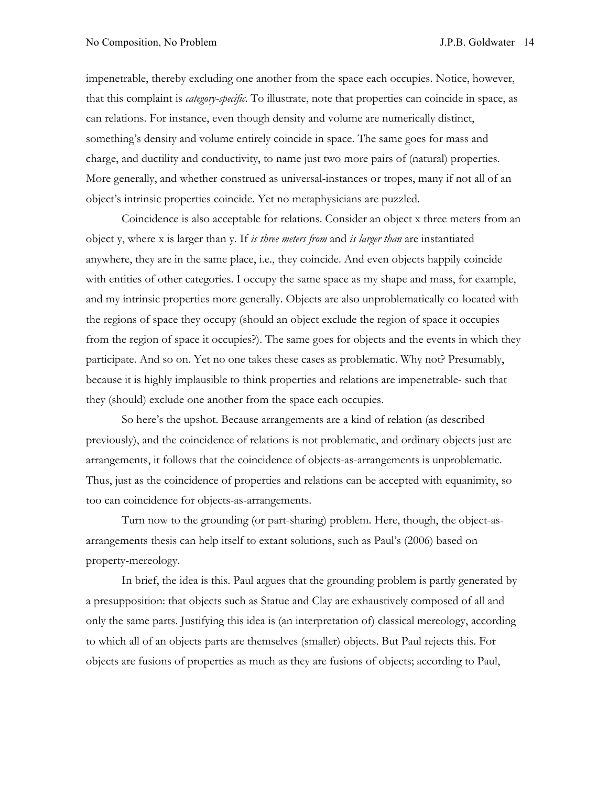impenetrable, thereby excluding one another from the space each occupies. Notice, however, that this complaint is *category-specific*. To illustrate, note that properties can coincide in space, as can relations. For instance, even though density and volume are numerically distinct, something's density and volume entirely coincide in space. The same goes for mass and charge, and ductility and conductivity, to name just two more pairs of (natural) properties. More generally, and whether construed as universal-instances or tropes, many if not all of an object's intrinsic properties coincide. Yet no metaphysicians are puzzled.

Coincidence is also acceptable for relations. Consider an object x three meters from an object y, where x is larger than y. If *is three meters from* and *is larger than* are instantiated anywhere, they are in the same place, i.e., they coincide. And even objects happily coincide with entities of other categories. I occupy the same space as my shape and mass, for example, and my intrinsic properties more generally. Objects are also unproblematically co-located with the regions of space they occupy (should an object exclude the region of space it occupies from the region of space it occupies?). The same goes for objects and the events in which they participate. And so on. Yet no one takes these cases as problematic. Why not? Presumably, because it is highly implausible to think properties and relations are impenetrable- such that they (should) exclude one another from the space each occupies.

So here's the upshot. Because arrangements are a kind of relation (as described previously), and the coincidence of relations is not problematic, and ordinary objects just are arrangements, it follows that the coincidence of objects-as-arrangements is unproblematic. Thus, just as the coincidence of properties and relations can be accepted with equanimity, so too can coincidence for objects-as-arrangements.

Turn now to the grounding (or part-sharing) problem. Here, though, the object-asarrangements thesis can help itself to extant solutions, such as Paul's (2006) based on property-mereology.

In brief, the idea is this. Paul argues that the grounding problem is partly generated by a presupposition: that objects such as Statue and Clay are exhaustively composed of all and only the same parts. Justifying this idea is (an interpretation of) classical mereology, according to which all of an objects parts are themselves (smaller) objects. But Paul rejects this. For objects are fusions of properties as much as they are fusions of objects; according to Paul,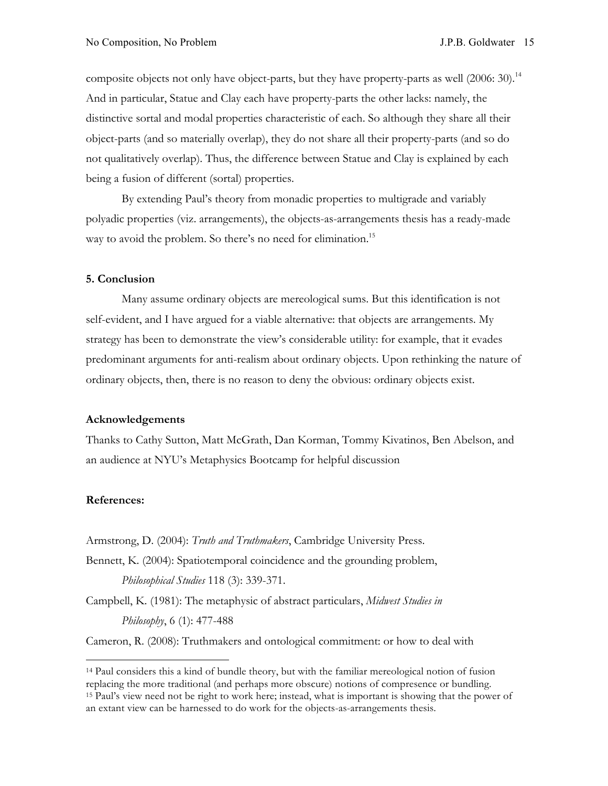composite objects not only have object-parts, but they have property-parts as well  $(2006: 30).$ <sup>14</sup> And in particular, Statue and Clay each have property-parts the other lacks: namely, the distinctive sortal and modal properties characteristic of each. So although they share all their object-parts (and so materially overlap), they do not share all their property-parts (and so do not qualitatively overlap). Thus, the difference between Statue and Clay is explained by each being a fusion of different (sortal) properties.

By extending Paul's theory from monadic properties to multigrade and variably polyadic properties (viz. arrangements), the objects-as-arrangements thesis has a ready-made way to avoid the problem. So there's no need for elimination.<sup>15</sup>

## **5. Conclusion**

Many assume ordinary objects are mereological sums. But this identification is not self-evident, and I have argued for a viable alternative: that objects are arrangements. My strategy has been to demonstrate the view's considerable utility: for example, that it evades predominant arguments for anti-realism about ordinary objects. Upon rethinking the nature of ordinary objects, then, there is no reason to deny the obvious: ordinary objects exist.

# **Acknowledgements**

 

Thanks to Cathy Sutton, Matt McGrath, Dan Korman, Tommy Kivatinos, Ben Abelson, and an audience at NYU's Metaphysics Bootcamp for helpful discussion

## **References:**

Armstrong, D. (2004): *Truth and Truthmakers*, Cambridge University Press.

Bennett, K. (2004): Spatiotemporal coincidence and the grounding problem, *Philosophical Studies* 118 (3): 339-371.

Campbell, K. (1981): The metaphysic of abstract particulars, *Midwest Studies in Philosophy*, 6 (1): 477-488

Cameron, R. (2008): Truthmakers and ontological commitment: or how to deal with

<sup>14</sup> Paul considers this a kind of bundle theory, but with the familiar mereological notion of fusion replacing the more traditional (and perhaps more obscure) notions of compresence or bundling. 15 Paul's view need not be right to work here; instead, what is important is showing that the power of an extant view can be harnessed to do work for the objects-as-arrangements thesis.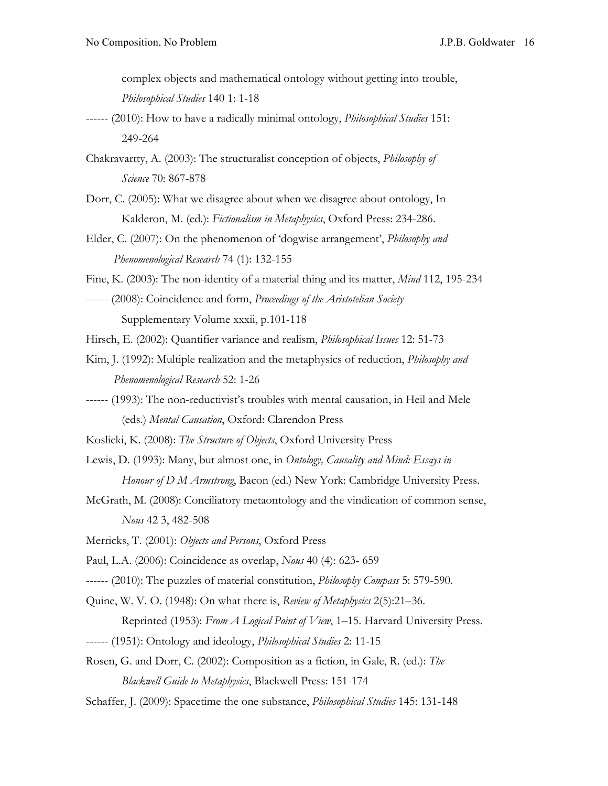complex objects and mathematical ontology without getting into trouble, *Philosophical Studies* 140 1: 1-18

- ------ (2010): How to have a radically minimal ontology, *Philosophical Studies* 151: 249-264
- Chakravartty, A. (2003): The structuralist conception of objects, *Philosophy of Science* 70: 867-878
- Dorr, C. (2005): What we disagree about when we disagree about ontology, In Kalderon, M. (ed.): *Fictionalism in Metaphysics*, Oxford Press: 234-286.
- Elder, C. (2007): On the phenomenon of 'dogwise arrangement', *Philosophy and Phenomenological Research* 74 (1): 132-155
- Fine, K. (2003): The non-identity of a material thing and its matter, *Mind* 112, 195-234
- ------ (2008): Coincidence and form, *Proceedings of the Aristotelian Society* Supplementary Volume xxxii, p.101-118
- Hirsch, E. (2002): Quantifier variance and realism, *Philosophical Issues* 12: 51-73
- Kim, J. (1992): Multiple realization and the metaphysics of reduction, *Philosophy and Phenomenological Research* 52: 1-26
- ------ (1993): The non-reductivist's troubles with mental causation, in Heil and Mele (eds.) *Mental Causation*, Oxford: Clarendon Press
- Koslicki, K. (2008): *The Structure of Objects*, Oxford University Press
- Lewis, D. (1993): Many, but almost one, in *Ontology, Causality and Mind: Essays in Honour of D M Armstrong*, Bacon (ed.) New York: Cambridge University Press.
- McGrath, M. (2008): Conciliatory metaontology and the vindication of common sense, *Nous* 42 3, 482-508
- Merricks, T. (2001): *Objects and Persons*, Oxford Press
- Paul, L.A. (2006): Coincidence as overlap, *Nous* 40 (4): 623- 659
- ------ (2010): The puzzles of material constitution, *Philosophy Compass* 5: 579-590.
- Quine, W. V. O. (1948): On what there is, *Review of Metaphysics* 2(5):21–36.
	- Reprinted (1953): *From A Logical Point of View*, 1–15. Harvard University Press.
- ------ (1951): Ontology and ideology, *Philosophical Studies* 2: 11-15
- Rosen, G. and Dorr, C. (2002): Composition as a fiction, in Gale, R. (ed.): *The Blackwell Guide to Metaphysics*, Blackwell Press: 151-174
- Schaffer, J. (2009): Spacetime the one substance, *Philosophical Studies* 145: 131-148